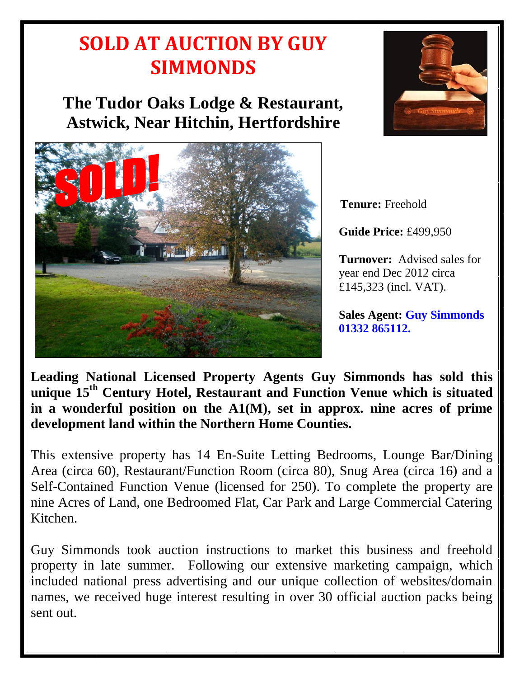## **SOLD AT AUCTION BY GUY SIMMONDS**

**The Tudor Oaks Lodge & Restaurant, Astwick, Near Hitchin, Hertfordshire**



**Tenure:** Freehold

**Guide Price:** £499,950

**Turnover:** Advised sales for year end Dec 2012 circa £145,323 (incl. VAT).

**Sales Agent: Guy Simmonds 01332 865112.**

**Leading National Licensed Property Agents Guy Simmonds has sold this unique 15 th Century Hotel, Restaurant and Function Venue which is situated in a wonderful position on the A1(M), set in approx. nine acres of prime development land within the Northern Home Counties.** 

This extensive property has 14 En-Suite Letting Bedrooms, Lounge Bar/Dining Area (circa 60), Restaurant/Function Room (circa 80), Snug Area (circa 16) and a Self-Contained Function Venue (licensed for 250). To complete the property are nine Acres of Land, one Bedroomed Flat, Car Park and Large Commercial Catering Kitchen.

Guy Simmonds took auction instructions to market this business and freehold property in late summer. Following our extensive marketing campaign, which included national press advertising and our unique collection of websites/domain names, we received huge interest resulting in over 30 official auction packs being sent out.